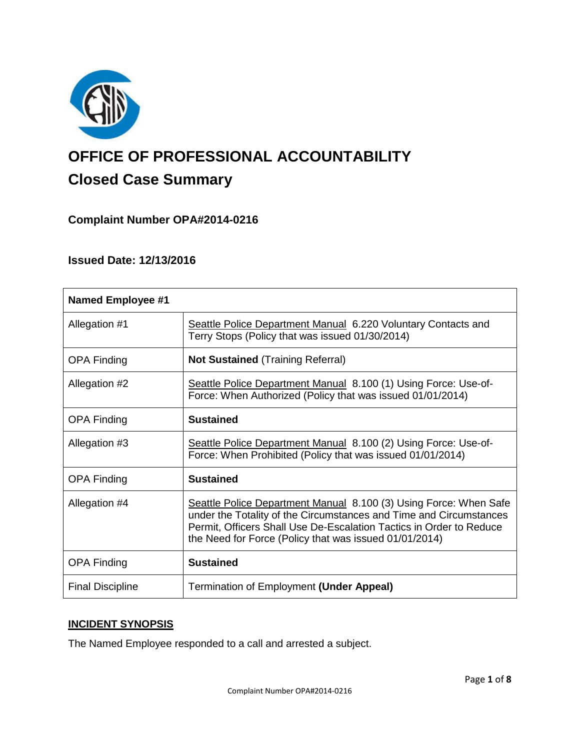

# **OFFICE OF PROFESSIONAL ACCOUNTABILITY Closed Case Summary**

# **Complaint Number OPA#2014-0216**

## **Issued Date: 12/13/2016**

| <b>Named Employee #1</b> |                                                                                                                                                                                                                                                                          |
|--------------------------|--------------------------------------------------------------------------------------------------------------------------------------------------------------------------------------------------------------------------------------------------------------------------|
| Allegation #1            | Seattle Police Department Manual 6.220 Voluntary Contacts and<br>Terry Stops (Policy that was issued 01/30/2014)                                                                                                                                                         |
| <b>OPA Finding</b>       | <b>Not Sustained</b> (Training Referral)                                                                                                                                                                                                                                 |
| Allegation #2            | Seattle Police Department Manual 8.100 (1) Using Force: Use-of-<br>Force: When Authorized (Policy that was issued 01/01/2014)                                                                                                                                            |
| <b>OPA Finding</b>       | <b>Sustained</b>                                                                                                                                                                                                                                                         |
| Allegation #3            | Seattle Police Department Manual 8.100 (2) Using Force: Use-of-<br>Force: When Prohibited (Policy that was issued 01/01/2014)                                                                                                                                            |
| <b>OPA Finding</b>       | <b>Sustained</b>                                                                                                                                                                                                                                                         |
| Allegation #4            | Seattle Police Department Manual 8.100 (3) Using Force: When Safe<br>under the Totality of the Circumstances and Time and Circumstances<br>Permit, Officers Shall Use De-Escalation Tactics in Order to Reduce<br>the Need for Force (Policy that was issued 01/01/2014) |
| <b>OPA Finding</b>       | <b>Sustained</b>                                                                                                                                                                                                                                                         |
| <b>Final Discipline</b>  | Termination of Employment (Under Appeal)                                                                                                                                                                                                                                 |

#### **INCIDENT SYNOPSIS**

The Named Employee responded to a call and arrested a subject.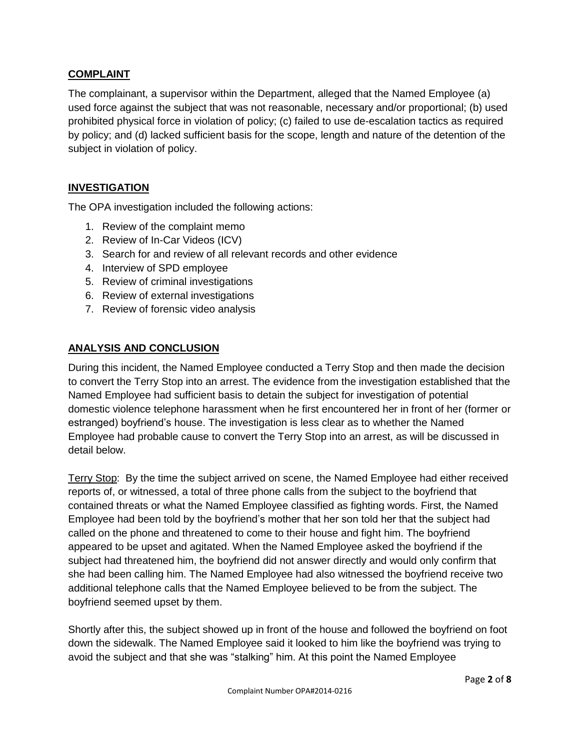## **COMPLAINT**

The complainant, a supervisor within the Department, alleged that the Named Employee (a) used force against the subject that was not reasonable, necessary and/or proportional; (b) used prohibited physical force in violation of policy; (c) failed to use de-escalation tactics as required by policy; and (d) lacked sufficient basis for the scope, length and nature of the detention of the subject in violation of policy.

## **INVESTIGATION**

The OPA investigation included the following actions:

- 1. Review of the complaint memo
- 2. Review of In-Car Videos (ICV)
- 3. Search for and review of all relevant records and other evidence
- 4. Interview of SPD employee
- 5. Review of criminal investigations
- 6. Review of external investigations
- 7. Review of forensic video analysis

## **ANALYSIS AND CONCLUSION**

During this incident, the Named Employee conducted a Terry Stop and then made the decision to convert the Terry Stop into an arrest. The evidence from the investigation established that the Named Employee had sufficient basis to detain the subject for investigation of potential domestic violence telephone harassment when he first encountered her in front of her (former or estranged) boyfriend's house. The investigation is less clear as to whether the Named Employee had probable cause to convert the Terry Stop into an arrest, as will be discussed in detail below.

Terry Stop: By the time the subject arrived on scene, the Named Employee had either received reports of, or witnessed, a total of three phone calls from the subject to the boyfriend that contained threats or what the Named Employee classified as fighting words. First, the Named Employee had been told by the boyfriend's mother that her son told her that the subject had called on the phone and threatened to come to their house and fight him. The boyfriend appeared to be upset and agitated. When the Named Employee asked the boyfriend if the subject had threatened him, the boyfriend did not answer directly and would only confirm that she had been calling him. The Named Employee had also witnessed the boyfriend receive two additional telephone calls that the Named Employee believed to be from the subject. The boyfriend seemed upset by them.

Shortly after this, the subject showed up in front of the house and followed the boyfriend on foot down the sidewalk. The Named Employee said it looked to him like the boyfriend was trying to avoid the subject and that she was "stalking" him. At this point the Named Employee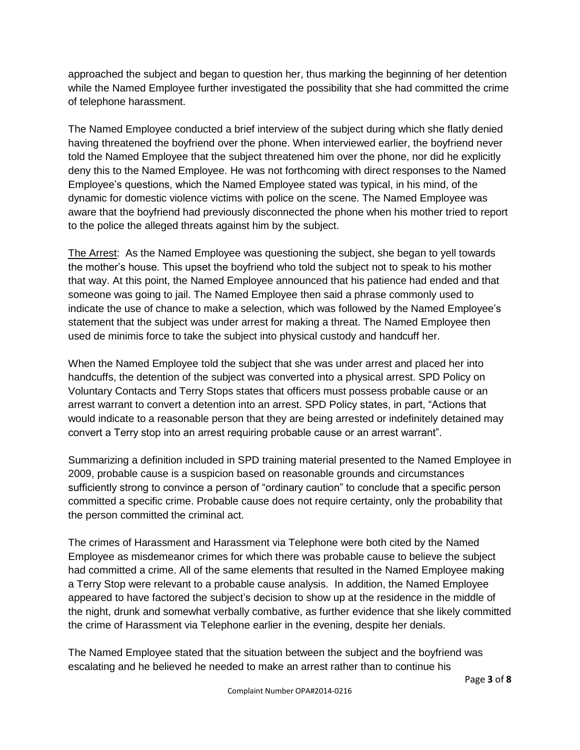approached the subject and began to question her, thus marking the beginning of her detention while the Named Employee further investigated the possibility that she had committed the crime of telephone harassment.

The Named Employee conducted a brief interview of the subject during which she flatly denied having threatened the boyfriend over the phone. When interviewed earlier, the boyfriend never told the Named Employee that the subject threatened him over the phone, nor did he explicitly deny this to the Named Employee. He was not forthcoming with direct responses to the Named Employee's questions, which the Named Employee stated was typical, in his mind, of the dynamic for domestic violence victims with police on the scene. The Named Employee was aware that the boyfriend had previously disconnected the phone when his mother tried to report to the police the alleged threats against him by the subject.

The Arrest: As the Named Employee was questioning the subject, she began to yell towards the mother's house. This upset the boyfriend who told the subject not to speak to his mother that way. At this point, the Named Employee announced that his patience had ended and that someone was going to jail. The Named Employee then said a phrase commonly used to indicate the use of chance to make a selection, which was followed by the Named Employee's statement that the subject was under arrest for making a threat. The Named Employee then used de minimis force to take the subject into physical custody and handcuff her.

When the Named Employee told the subject that she was under arrest and placed her into handcuffs, the detention of the subject was converted into a physical arrest. SPD Policy on Voluntary Contacts and Terry Stops states that officers must possess probable cause or an arrest warrant to convert a detention into an arrest. SPD Policy states, in part, "Actions that would indicate to a reasonable person that they are being arrested or indefinitely detained may convert a Terry stop into an arrest requiring probable cause or an arrest warrant".

Summarizing a definition included in SPD training material presented to the Named Employee in 2009, probable cause is a suspicion based on reasonable grounds and circumstances sufficiently strong to convince a person of "ordinary caution" to conclude that a specific person committed a specific crime. Probable cause does not require certainty, only the probability that the person committed the criminal act.

The crimes of Harassment and Harassment via Telephone were both cited by the Named Employee as misdemeanor crimes for which there was probable cause to believe the subject had committed a crime. All of the same elements that resulted in the Named Employee making a Terry Stop were relevant to a probable cause analysis. In addition, the Named Employee appeared to have factored the subject's decision to show up at the residence in the middle of the night, drunk and somewhat verbally combative, as further evidence that she likely committed the crime of Harassment via Telephone earlier in the evening, despite her denials.

The Named Employee stated that the situation between the subject and the boyfriend was escalating and he believed he needed to make an arrest rather than to continue his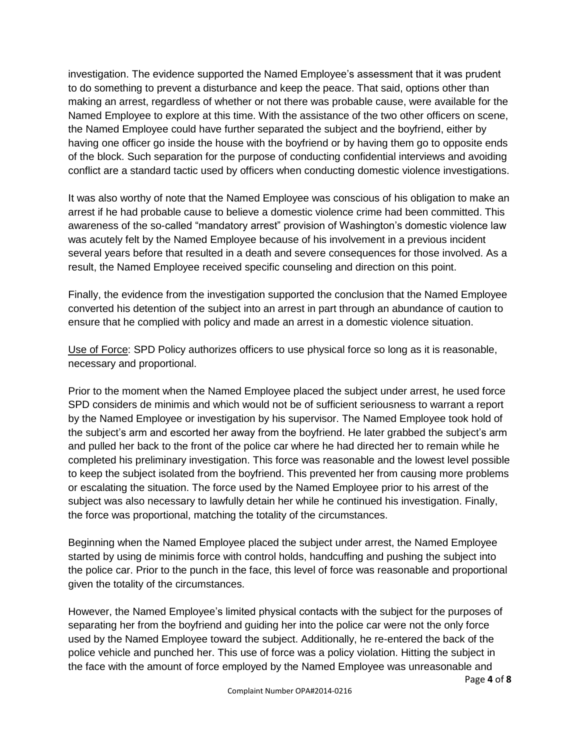investigation. The evidence supported the Named Employee's assessment that it was prudent to do something to prevent a disturbance and keep the peace. That said, options other than making an arrest, regardless of whether or not there was probable cause, were available for the Named Employee to explore at this time. With the assistance of the two other officers on scene, the Named Employee could have further separated the subject and the boyfriend, either by having one officer go inside the house with the boyfriend or by having them go to opposite ends of the block. Such separation for the purpose of conducting confidential interviews and avoiding conflict are a standard tactic used by officers when conducting domestic violence investigations.

It was also worthy of note that the Named Employee was conscious of his obligation to make an arrest if he had probable cause to believe a domestic violence crime had been committed. This awareness of the so-called "mandatory arrest" provision of Washington's domestic violence law was acutely felt by the Named Employee because of his involvement in a previous incident several years before that resulted in a death and severe consequences for those involved. As a result, the Named Employee received specific counseling and direction on this point.

Finally, the evidence from the investigation supported the conclusion that the Named Employee converted his detention of the subject into an arrest in part through an abundance of caution to ensure that he complied with policy and made an arrest in a domestic violence situation.

Use of Force: SPD Policy authorizes officers to use physical force so long as it is reasonable, necessary and proportional.

Prior to the moment when the Named Employee placed the subject under arrest, he used force SPD considers de minimis and which would not be of sufficient seriousness to warrant a report by the Named Employee or investigation by his supervisor. The Named Employee took hold of the subject's arm and escorted her away from the boyfriend. He later grabbed the subject's arm and pulled her back to the front of the police car where he had directed her to remain while he completed his preliminary investigation. This force was reasonable and the lowest level possible to keep the subject isolated from the boyfriend. This prevented her from causing more problems or escalating the situation. The force used by the Named Employee prior to his arrest of the subject was also necessary to lawfully detain her while he continued his investigation. Finally, the force was proportional, matching the totality of the circumstances.

Beginning when the Named Employee placed the subject under arrest, the Named Employee started by using de minimis force with control holds, handcuffing and pushing the subject into the police car. Prior to the punch in the face, this level of force was reasonable and proportional given the totality of the circumstances.

However, the Named Employee's limited physical contacts with the subject for the purposes of separating her from the boyfriend and guiding her into the police car were not the only force used by the Named Employee toward the subject. Additionally, he re-entered the back of the police vehicle and punched her. This use of force was a policy violation. Hitting the subject in the face with the amount of force employed by the Named Employee was unreasonable and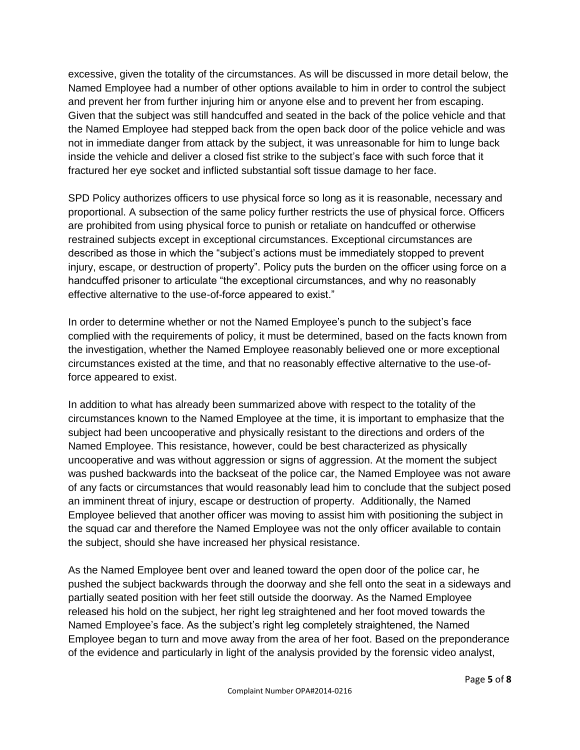excessive, given the totality of the circumstances. As will be discussed in more detail below, the Named Employee had a number of other options available to him in order to control the subject and prevent her from further injuring him or anyone else and to prevent her from escaping. Given that the subject was still handcuffed and seated in the back of the police vehicle and that the Named Employee had stepped back from the open back door of the police vehicle and was not in immediate danger from attack by the subject, it was unreasonable for him to lunge back inside the vehicle and deliver a closed fist strike to the subject's face with such force that it fractured her eye socket and inflicted substantial soft tissue damage to her face.

SPD Policy authorizes officers to use physical force so long as it is reasonable, necessary and proportional. A subsection of the same policy further restricts the use of physical force. Officers are prohibited from using physical force to punish or retaliate on handcuffed or otherwise restrained subjects except in exceptional circumstances. Exceptional circumstances are described as those in which the "subject's actions must be immediately stopped to prevent injury, escape, or destruction of property". Policy puts the burden on the officer using force on a handcuffed prisoner to articulate "the exceptional circumstances, and why no reasonably effective alternative to the use-of-force appeared to exist."

In order to determine whether or not the Named Employee's punch to the subject's face complied with the requirements of policy, it must be determined, based on the facts known from the investigation, whether the Named Employee reasonably believed one or more exceptional circumstances existed at the time, and that no reasonably effective alternative to the use-offorce appeared to exist.

In addition to what has already been summarized above with respect to the totality of the circumstances known to the Named Employee at the time, it is important to emphasize that the subject had been uncooperative and physically resistant to the directions and orders of the Named Employee. This resistance, however, could be best characterized as physically uncooperative and was without aggression or signs of aggression. At the moment the subject was pushed backwards into the backseat of the police car, the Named Employee was not aware of any facts or circumstances that would reasonably lead him to conclude that the subject posed an imminent threat of injury, escape or destruction of property. Additionally, the Named Employee believed that another officer was moving to assist him with positioning the subject in the squad car and therefore the Named Employee was not the only officer available to contain the subject, should she have increased her physical resistance.

As the Named Employee bent over and leaned toward the open door of the police car, he pushed the subject backwards through the doorway and she fell onto the seat in a sideways and partially seated position with her feet still outside the doorway. As the Named Employee released his hold on the subject, her right leg straightened and her foot moved towards the Named Employee's face. As the subject's right leg completely straightened, the Named Employee began to turn and move away from the area of her foot. Based on the preponderance of the evidence and particularly in light of the analysis provided by the forensic video analyst,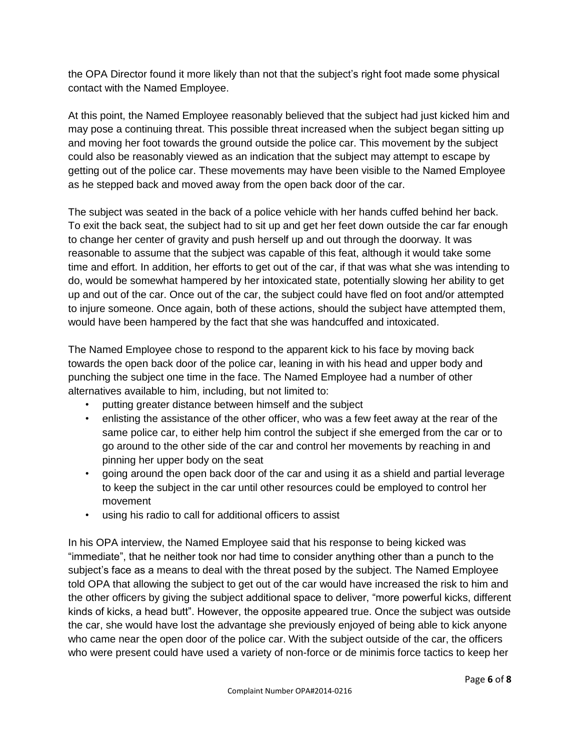the OPA Director found it more likely than not that the subject's right foot made some physical contact with the Named Employee.

At this point, the Named Employee reasonably believed that the subject had just kicked him and may pose a continuing threat. This possible threat increased when the subject began sitting up and moving her foot towards the ground outside the police car. This movement by the subject could also be reasonably viewed as an indication that the subject may attempt to escape by getting out of the police car. These movements may have been visible to the Named Employee as he stepped back and moved away from the open back door of the car.

The subject was seated in the back of a police vehicle with her hands cuffed behind her back. To exit the back seat, the subject had to sit up and get her feet down outside the car far enough to change her center of gravity and push herself up and out through the doorway. It was reasonable to assume that the subject was capable of this feat, although it would take some time and effort. In addition, her efforts to get out of the car, if that was what she was intending to do, would be somewhat hampered by her intoxicated state, potentially slowing her ability to get up and out of the car. Once out of the car, the subject could have fled on foot and/or attempted to injure someone. Once again, both of these actions, should the subject have attempted them, would have been hampered by the fact that she was handcuffed and intoxicated.

The Named Employee chose to respond to the apparent kick to his face by moving back towards the open back door of the police car, leaning in with his head and upper body and punching the subject one time in the face. The Named Employee had a number of other alternatives available to him, including, but not limited to:

- putting greater distance between himself and the subject
- enlisting the assistance of the other officer, who was a few feet away at the rear of the same police car, to either help him control the subject if she emerged from the car or to go around to the other side of the car and control her movements by reaching in and pinning her upper body on the seat
- going around the open back door of the car and using it as a shield and partial leverage to keep the subject in the car until other resources could be employed to control her movement
- using his radio to call for additional officers to assist

In his OPA interview, the Named Employee said that his response to being kicked was "immediate", that he neither took nor had time to consider anything other than a punch to the subject's face as a means to deal with the threat posed by the subject. The Named Employee told OPA that allowing the subject to get out of the car would have increased the risk to him and the other officers by giving the subject additional space to deliver, "more powerful kicks, different kinds of kicks, a head butt". However, the opposite appeared true. Once the subject was outside the car, she would have lost the advantage she previously enjoyed of being able to kick anyone who came near the open door of the police car. With the subject outside of the car, the officers who were present could have used a variety of non-force or de minimis force tactics to keep her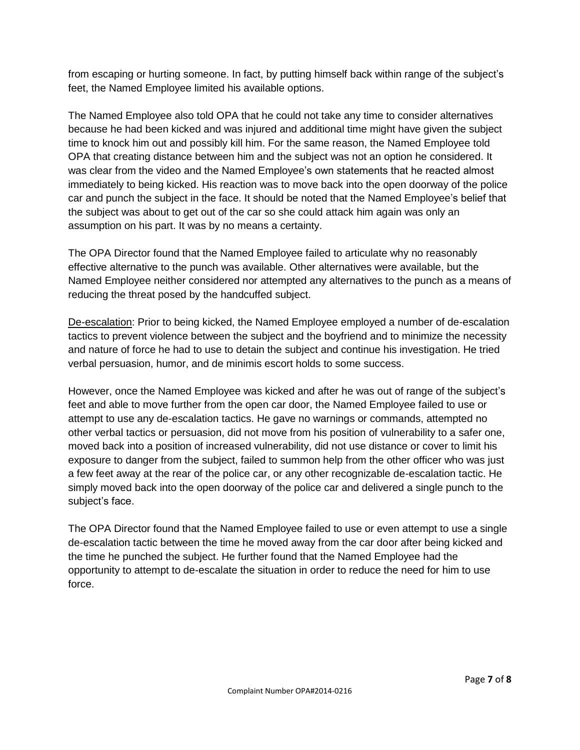from escaping or hurting someone. In fact, by putting himself back within range of the subject's feet, the Named Employee limited his available options.

The Named Employee also told OPA that he could not take any time to consider alternatives because he had been kicked and was injured and additional time might have given the subject time to knock him out and possibly kill him. For the same reason, the Named Employee told OPA that creating distance between him and the subject was not an option he considered. It was clear from the video and the Named Employee's own statements that he reacted almost immediately to being kicked. His reaction was to move back into the open doorway of the police car and punch the subject in the face. It should be noted that the Named Employee's belief that the subject was about to get out of the car so she could attack him again was only an assumption on his part. It was by no means a certainty.

The OPA Director found that the Named Employee failed to articulate why no reasonably effective alternative to the punch was available. Other alternatives were available, but the Named Employee neither considered nor attempted any alternatives to the punch as a means of reducing the threat posed by the handcuffed subject.

De-escalation: Prior to being kicked, the Named Employee employed a number of de-escalation tactics to prevent violence between the subject and the boyfriend and to minimize the necessity and nature of force he had to use to detain the subject and continue his investigation. He tried verbal persuasion, humor, and de minimis escort holds to some success.

However, once the Named Employee was kicked and after he was out of range of the subject's feet and able to move further from the open car door, the Named Employee failed to use or attempt to use any de-escalation tactics. He gave no warnings or commands, attempted no other verbal tactics or persuasion, did not move from his position of vulnerability to a safer one, moved back into a position of increased vulnerability, did not use distance or cover to limit his exposure to danger from the subject, failed to summon help from the other officer who was just a few feet away at the rear of the police car, or any other recognizable de-escalation tactic. He simply moved back into the open doorway of the police car and delivered a single punch to the subject's face.

The OPA Director found that the Named Employee failed to use or even attempt to use a single de-escalation tactic between the time he moved away from the car door after being kicked and the time he punched the subject. He further found that the Named Employee had the opportunity to attempt to de-escalate the situation in order to reduce the need for him to use force.